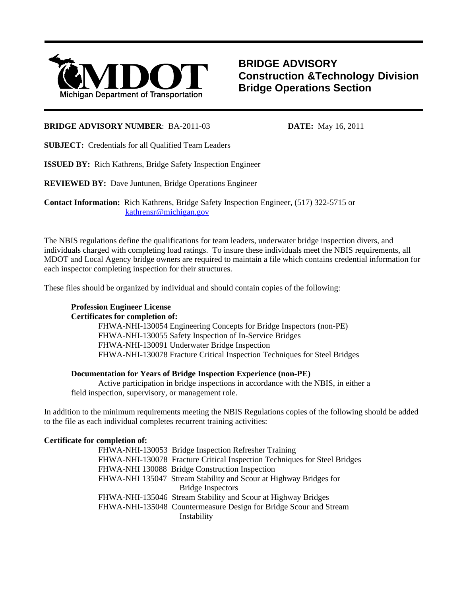

**BRIDGE ADVISORY Construction &Technology Division Bridge Operations Section**

## **BRIDGE ADVISORY NUMBER**: BA-2011-03 **DATE:** May 16, 2011

**SUBJECT:** Credentials for all Qualified Team Leaders

**ISSUED BY:** Rich Kathrens, Bridge Safety Inspection Engineer

**REVIEWED BY:** Dave Juntunen, Bridge Operations Engineer

**Contact Information:** Rich Kathrens, Bridge Safety Inspection Engineer, (517) 322-5715 or kathrensr@michigan.gov

The NBIS regulations define the qualifications for team leaders, underwater bridge inspection divers, and individuals charged with completing load ratings. To insure these individuals meet the NBIS requirements, all MDOT and Local Agency bridge owners are required to maintain a file which contains credential information for each inspector completing inspection for their structures.

These files should be organized by individual and should contain copies of the following:

# **Profession Engineer License**

l

# **Certificates for completion of:**

FHWA-NHI-130054 Engineering Concepts for Bridge Inspectors (non-PE) FHWA-NHI-130055 Safety Inspection of In-Service Bridges FHWA-NHI-130091 Underwater Bridge Inspection FHWA-NHI-130078 Fracture Critical Inspection Techniques for Steel Bridges

### **Documentation for Years of Bridge Inspection Experience (non-PE)**

 Active participation in bridge inspections in accordance with the NBIS, in either a field inspection, supervisory, or management role.

In addition to the minimum requirements meeting the NBIS Regulations copies of the following should be added to the file as each individual completes recurrent training activities:

### **Certificate for completion of:**

FHWA-NHI-130053 Bridge Inspection Refresher Training FHWA-NHI-130078 Fracture Critical Inspection Techniques for Steel Bridges FHWA-NHI 130088 Bridge Construction Inspection FHWA-NHI 135047 Stream Stability and Scour at Highway Bridges for Bridge Inspectors FHWA-NHI-135046 Stream Stability and Scour at Highway Bridges FHWA-NHI-135048 Countermeasure Design for Bridge Scour and Stream Instability